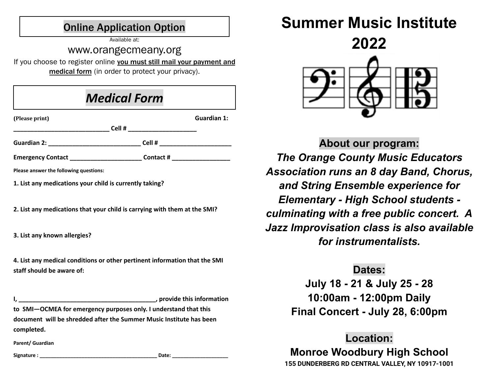#### Online Application Option

Available at:

#### www.orangecmeany.org

If you choose to register online you must still mail your payment and medical form (in order to protect your privacy).

| <b>Medical Form</b> |  |
|---------------------|--|
|---------------------|--|

| (Please print)                                          |                                | Guardian 1: |
|---------------------------------------------------------|--------------------------------|-------------|
|                                                         |                                |             |
|                                                         |                                |             |
| Emergency Contact ________________________              | Contact # ____________________ |             |
| Please answer the following questions:                  |                                |             |
| 1. List any medications your child is currently taking? |                                |             |
|                                                         |                                |             |

**2. List any medications that your child is carrying with them at the SMI?**

**3. List any known allergies?**

**4. List any medical conditions or other pertinent information that the SMI staff should be aware of:**

**I, \_\_\_\_\_\_\_\_\_\_\_\_\_\_\_\_\_\_\_\_\_\_\_\_\_\_\_\_\_\_\_\_\_\_\_\_\_\_\_\_, provide this information to SMI—OCMEA for emergency purposes only. I understand that this document will be shredded after the Summer Music Institute has been completed.**

**Parent/ Guardian**

**Signature : \_\_\_\_\_\_\_\_\_\_\_\_\_\_\_\_\_\_\_\_\_\_\_\_\_\_\_\_\_\_\_\_\_\_\_\_\_\_\_\_\_\_ Date: \_\_\_\_\_\_\_\_\_\_\_\_\_\_\_\_\_\_\_\_**

# **Summer Music Institute**



**About our program:** *The Orange County Music Educators Association runs an 8 day Band, Chorus, and String Ensemble experience for Elementary - High School students culminating with a free public concert. A Jazz Improvisation class is also available for instrumentalists.*

#### **Dates:**

**July 18 - 21 & July 25 - 28 10:00am - 12:00pm Daily Final Concert - July 28, 6:00pm**

## **Location:**

**Monroe Woodbury High School 155 DUNDERBERG RD CENTRAL VALLEY, NY 10917-1001**